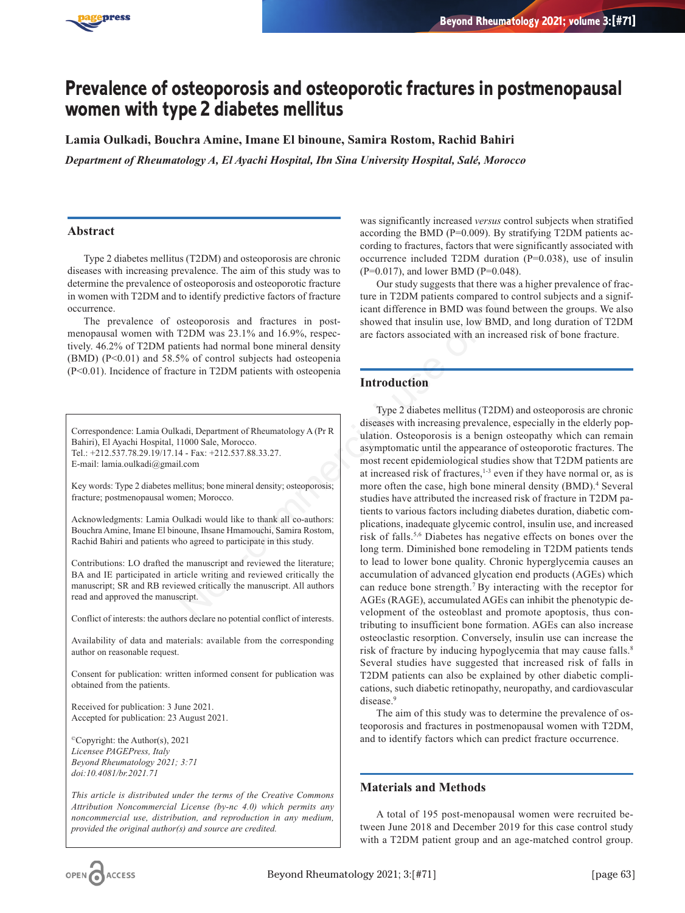

# **Prevalence of osteoporosis and osteoporotic fractures in postmenopausal women with type 2 diabetes mellitus**

**Lamia Oulkadi, Bouchra Amine, Imane El binoune, Samira Rostom, Rachid Bahiri**

*Department of Rheumatology A, El Ayachi Hospital, Ibn Sina University Hospital, Salé, Morocco*

# **Abstract**

Type 2 diabetes mellitus (T2DM) and osteoporosis are chronic diseases with increasing prevalence. The aim of this study was to determine the prevalence of osteoporosis and osteoporotic fracture in women with T2DM and to identify predictive factors of fracture occurrence.

The prevalence of osteoporosis and fractures in postmenopausal women with T2DM was 23.1% and 16.9%, respectively. 46.2% of T2DM patients had normal bone mineral density  $(BMD)$   $(P<0.01)$  and 58.5% of control subjects had osteopenia (P<0.01). Incidence of fracture in T2DM patients with osteopenia

Correspondence: Lamia Oulkadi, Department of Rheumatology A (Pr R Bahiri), El Ayachi Hospital, 11000 Sale, Morocco. Tel.: +212.537.78.29.19/17.14 - Fax: +212.537.88.33.27. E-mail: lamia.oulkadi@gmail.com

Key words: Type 2 diabetes mellitus; bone mineral density; osteoporosis; fracture; postmenopausal women; Morocco.

Acknowledgments: Lamia Oulkadi would like to thank all co-authors: Bouchra Amine, Imane El binoune, Ihsane Hmamouchi, Samira Rostom, Rachid Bahiri and patients who agreed to participate in this study.

Contributions: LO drafted the manuscript and reviewed the literature; BA and IE participated in article writing and reviewed critically the manuscript; SR and RB reviewed critically the manuscript. All authors read and approved the manuscript.

Conflict of interests: the authors declare no potential conflict of interests.

Availability of data and materials: available from the corresponding author on reasonable request.

Consent for publication: written informed consent for publication was obtained from the patients.

Received for publication: 3 June 2021. Accepted for publication: 23 August 2021.

©Copyright: the Author(s), 2021 *Licensee PAGEPress, Italy Beyond Rheumatology 2021; 3:71 doi:10.4081/br.2021.71*

*This article is distributed under the terms of the Creative Commons Attribution Noncommercial License (by-nc 4.0) which permits any noncommercial use, distribution, and reproduction in any medium, provided the original author(s) and source are credited.*

was significantly increased *versus* control subjects when stratified according the BMD (P=0.009). By stratifying T2DM patients according to fractures, factors that were significantly associated with occurrence included T2DM duration (P=0.038), use of insulin (P=0.017), and lower BMD (P=0.048).

Our study suggests that there was a higher prevalence of fracture in T2DM patients compared to control subjects and a significant difference in BMD was found between the groups. We also showed that insulin use, low BMD, and long duration of T2DM are factors associated with an increased risk of bone fracture.

# **Introduction**

Type 2 diabetes mellitus (T2DM) and osteoporosis are chronic diseases with increasing prevalence, especially in the elderly population. Osteoporosis is a benign osteopathy which can remain asymptomatic until the appearance of osteoporotic fractures. The most recent epidemiological studies show that T2DM patients are at increased risk of fractures, $1-3$  even if they have normal or, as is more often the case, high bone mineral density (BMD).<sup>4</sup> Several studies have attributed the increased risk of fracture in T2DM patients to various factors including diabetes duration, diabetic complications, inadequate glycemic control, insulin use, and increased risk of falls.5,6 Diabetes has negative effects on bones over the long term. Diminished bone remodeling in T2DM patients tends to lead to lower bone quality. Chronic hyperglycemia causes an accumulation of advanced glycation end products (AGEs) which can reduce bone strength.7 By interacting with the receptor for AGEs (RAGE), accumulated AGEs can inhibit the phenotypic development of the osteoblast and promote apoptosis, thus contributing to insufficient bone formation. AGEs can also increase osteoclastic resorption. Conversely, insulin use can increase the risk of fracture by inducing hypoglycemia that may cause falls.<sup>8</sup> Several studies have suggested that increased risk of falls in T2DM patients can also be explained by other diabetic complications, such diabetic retinopathy, neuropathy, and cardiovascular disease.9 The method of interests of the manuscript and research and the term in the manuscript and download interests of the set only and the set only and the set only and the set on the dental density of energy and the set of the

> The aim of this study was to determine the prevalence of osteoporosis and fractures in postmenopausal women with T2DM, and to identify factors which can predict fracture occurrence.

# **Materials and Methods**

A total of 195 post-menopausal women were recruited between June 2018 and December 2019 for this case control study with a T2DM patient group and an age-matched control group.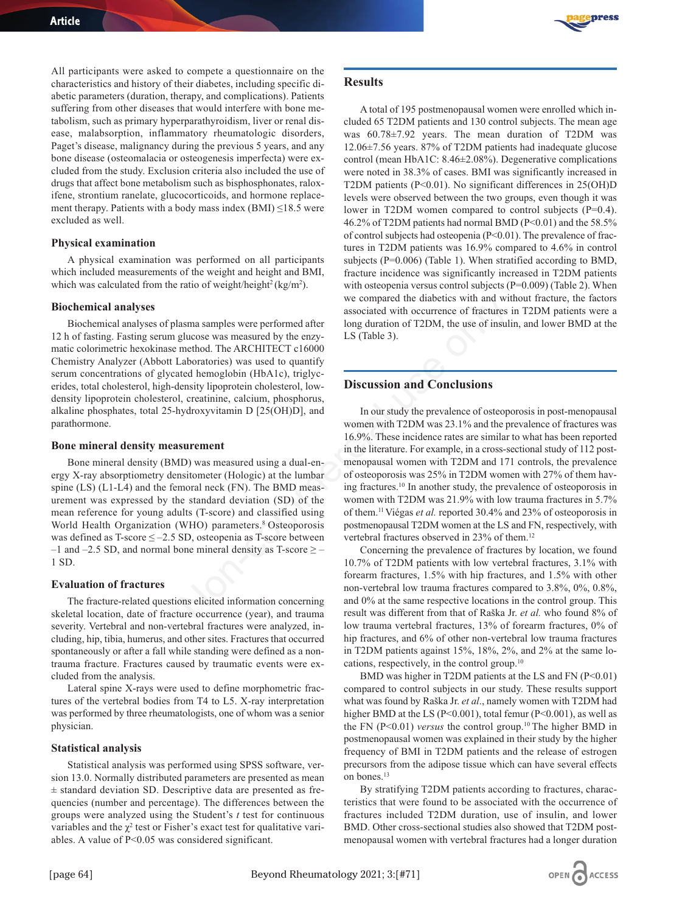All participants were asked to compete a questionnaire on the characteristics and history of their diabetes, including specific diabetic parameters (duration, therapy, and complications). Patients suffering from other diseases that would interfere with bone metabolism, such as primary hyperparathyroidism, liver or renal disease, malabsorption, inflammatory rheumatologic disorders, Paget's disease, malignancy during the previous 5 years, and any bone disease (osteomalacia or osteogenesis imperfecta) were excluded from the study. Exclusion criteria also included the use of drugs that affect bone metabolism such as bisphosphonates, raloxifene, strontium ranelate, glucocorticoids, and hormone replacement therapy. Patients with a body mass index (BMI) ≤18.5 were excluded as well.

#### **Physical examination**

A physical examination was performed on all participants which included measurements of the weight and height and BMI, which was calculated from the ratio of weight/height<sup>2</sup> (kg/m<sup>2</sup>).

#### **Biochemical analyses**

Biochemical analyses of plasma samples were performed after 12 h of fasting. Fasting serum glucose was measured by the enzymatic colorimetric hexokinase method. The ARCHITECT c16000 Chemistry Analyzer (Abbott Laboratories) was used to quantify serum concentrations of glycated hemoglobin (HbA1c), triglycerides, total cholesterol, high-density lipoprotein cholesterol, lowdensity lipoprotein cholesterol, creatinine, calcium, phosphorus, alkaline phosphates, total 25-hydroxyvitamin D [25(OH)D], and parathormone.

#### **Bone mineral density measurement**

Bone mineral density (BMD) was measured using a dual-energy X-ray absorptiometry densitometer (Hologic) at the lumbar spine (LS) (L1-L4) and the femoral neck (FN). The BMD measurement was expressed by the standard deviation (SD) of the mean reference for young adults (T-score) and classified using World Health Organization (WHO) parameters.<sup>8</sup> Osteoporosis was defined as  $T\text{-score} \le -2.5 \text{ SD}$ , osteopenia as  $T\text{-score}$  between –1 and –2.5 SD, and normal bone mineral density as T-score  $\geq$  – 1 SD.

#### **Evaluation of fractures**

The fracture-related questions elicited information concerning skeletal location, date of fracture occurrence (year), and trauma severity. Vertebral and non-vertebral fractures were analyzed, including, hip, tibia, humerus, and other sites. Fractures that occurred spontaneously or after a fall while standing were defined as a nontrauma fracture. Fractures caused by traumatic events were excluded from the analysis.

Lateral spine X-rays were used to define morphometric fractures of the vertebral bodies from T4 to L5. X-ray interpretation was performed by three rheumatologists, one of whom was a senior physician.

## **Statistical analysis**

Statistical analysis was performed using SPSS software, version 13.0. Normally distributed parameters are presented as mean  $±$  standard deviation SD. Descriptive data are presented as frequencies (number and percentage). The differences between the groups were analyzed using the Student's *t* test for continuous variables and the  $\chi^2$  test or Fisher's exact test for qualitative variables. A value of P<0.05 was considered significant.



## **Results**

A total of 195 postmenopausal women were enrolled which included 65 T2DM patients and 130 control subjects. The mean age was 60.78±7.92 years. The mean duration of T2DM was 12.06±7.56 years. 87% of T2DM patients had inadequate glucose control (mean HbA1C: 8.46±2.08%). Degenerative complications were noted in 38.3% of cases. BMI was significantly increased in T2DM patients (P<0.01). No significant differences in 25(OH)D levels were observed between the two groups, even though it was lower in T2DM women compared to control subjects (P=0.4). 46.2% of T2DM patients had normal BMD (P<0.01) and the 58.5% of control subjects had osteopenia (P<0.01). The prevalence of fractures in T2DM patients was 16.9% compared to 4.6% in control subjects (P=0.006) (Table 1). When stratified according to BMD, fracture incidence was significantly increased in T2DM patients with osteopenia versus control subjects (P=0.009) (Table 2). When we compared the diabetics with and without fracture, the factors associated with occurrence of fractures in T2DM patients were a long duration of T2DM, the use of insulin, and lower BMD at the LS (Table 3).

# **Discussion and Conclusions**

In our study the prevalence of osteoporosis in post-menopausal women with T2DM was 23.1% and the prevalence of fractures was 16.9%. These incidence rates are similar to what has been reported in the literature. For example, in a cross-sectional study of 112 postmenopausal women with T2DM and 171 controls, the prevalence of osteoporosis was 25% in T2DM women with 27% of them having fractures.10 In another study, the prevalence of osteoporosis in women with T2DM was 21.9% with low trauma fractures in 5.7% of them.11 Viégas *et al.* reported 30.4% and 23% of osteoporosis in postmenopausal T2DM women at the LS and FN, respectively, with vertebral fractures observed in 23% of them.<sup>12</sup> solution associated with accetive and with and with and with<br>glucose was measured by the enzy-<br>associated with occurrence of fractures<br>method. The ARCHITECT c16000-<br>method. The ARCHITECT c16000-<br>acaboratories) was used to

Concerning the prevalence of fractures by location, we found 10.7% of T2DM patients with low vertebral fractures, 3.1% with forearm fractures, 1.5% with hip fractures, and 1.5% with other non-vertebral low trauma fractures compared to 3.8%, 0%, 0.8%, and 0% at the same respective locations in the control group. This result was different from that of Raška Jr. *et al.* who found 8% of low trauma vertebral fractures, 13% of forearm fractures, 0% of hip fractures, and 6% of other non-vertebral low trauma fractures in T2DM patients against 15%, 18%, 2%, and 2% at the same locations, respectively, in the control group.10

BMD was higher in T2DM patients at the LS and FN (P<0.01) compared to control subjects in our study. These results support what was found by Raška Jr. *et al*., namely women with T2DM had higher BMD at the LS ( $P<0.001$ ), total femur ( $P<0.001$ ), as well as the FN (P<0.01) *versus* the control group.<sup>10</sup> The higher BMD in postmenopausal women was explained in their study by the higher frequency of BMI in T2DM patients and the release of estrogen precursors from the adipose tissue which can have several effects on bones.<sup>13</sup>

By stratifying T2DM patients according to fractures, characteristics that were found to be associated with the occurrence of fractures included T2DM duration, use of insulin, and lower BMD. Other cross-sectional studies also showed that T2DM postmenopausal women with vertebral fractures had a longer duration

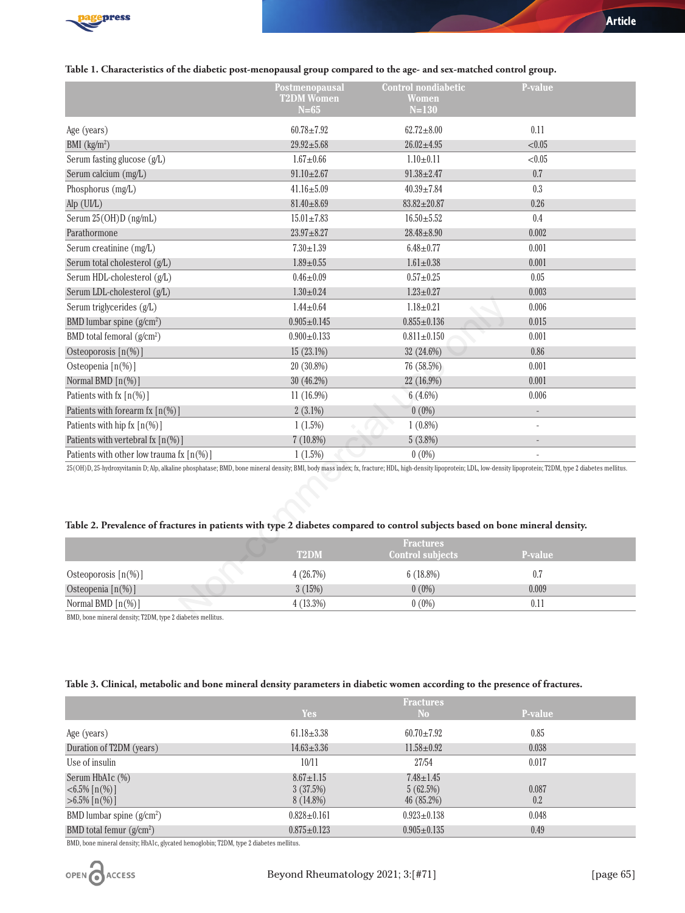

|                                                                                                                                                                                                                      | Postmenopausal<br><b>T2DM Women</b> | <b>Control nondiabetic</b><br><b>Women</b>  | P-value |  |
|----------------------------------------------------------------------------------------------------------------------------------------------------------------------------------------------------------------------|-------------------------------------|---------------------------------------------|---------|--|
|                                                                                                                                                                                                                      | $N=65$                              | $N=130$                                     |         |  |
| Age (years)                                                                                                                                                                                                          | $60.78 + 7.92$                      | $62.72 \pm 8.00$                            | 0.11    |  |
| BMI $(kg/m2)$                                                                                                                                                                                                        | $29.92 \pm 5.68$                    | $26.02 \pm 4.95$                            | < 0.05  |  |
| Serum fasting glucose (g/L)                                                                                                                                                                                          | $1.67 + 0.66$                       | $1.10 \pm 0.11$                             | < 0.05  |  |
| Serum calcium (mg/L)                                                                                                                                                                                                 | $91.10 \pm 2.67$                    | $91.38 \pm 2.47$                            | 0.7     |  |
| Phosphorus (mg/L)                                                                                                                                                                                                    | $41.16 \pm 5.09$                    | $40.39 \pm 7.84$                            | 0.3     |  |
| Alp (UI/L)                                                                                                                                                                                                           | $81.40 \pm 8.69$                    | $83.82 \pm 20.87$                           | 0.26    |  |
| Serum 25(OH)D (ng/mL)                                                                                                                                                                                                | $15.01 \pm 7.83$                    | $16.50 + 5.52$                              | 0.4     |  |
| Parathormone                                                                                                                                                                                                         | $23.97 + 8.27$                      | $28.48 \pm 8.90$                            | 0.002   |  |
| Serum creatinine (mg/L)                                                                                                                                                                                              | $7.30 \pm 1.39$                     | $6.48 + 0.77$                               | 0.001   |  |
| Serum total cholesterol (g/L)                                                                                                                                                                                        | $1.89 + 0.55$                       | $1.61 \pm 0.38$                             | 0.001   |  |
| Serum HDL-cholesterol (g/L)                                                                                                                                                                                          | $0.46 \pm 0.09$                     | $0.57 + 0.25$                               | 0.05    |  |
| Serum LDL-cholesterol (g/L)                                                                                                                                                                                          | $1.30 \pm 0.24$                     | $1.23 \pm 0.27$                             | 0.003   |  |
| Serum triglycerides (g/L)                                                                                                                                                                                            | $1.44 \pm 0.64$                     | $1.18 \pm 0.21$                             | 0.006   |  |
| BMD lumbar spine $(g/cm^2)$                                                                                                                                                                                          | $0.905 \pm 0.145$                   | $0.855 \pm 0.136$                           | 0.015   |  |
| BMD total femoral (g/cm <sup>2</sup> )                                                                                                                                                                               | $0.900 \pm 0.133$                   | $0.811 \pm 0.150$                           | 0.001   |  |
| Osteoporosis $[n(\%)]$                                                                                                                                                                                               | $15(23.1\%)$                        | 32 (24.6%)                                  | 0.86    |  |
| Osteopenia [n(%)]                                                                                                                                                                                                    | 20 (30.8%)                          | 76 (58.5%)                                  | 0.001   |  |
| Normal BMD $[n(\%)]$                                                                                                                                                                                                 | 30 (46.2%)                          | 22 (16.9%)                                  | 0.001   |  |
| Patients with $f(x \mid n(\%))$                                                                                                                                                                                      | 11 (16.9%)                          | $6(4.6\%)$                                  | 0.006   |  |
| Patients with forearm fx $\lceil n(\%) \rceil$                                                                                                                                                                       | $2(3.1\%)$                          | $0(0\%)$                                    |         |  |
| Patients with hip fx $[n(\%)]$                                                                                                                                                                                       | $1(1.5\%)$                          | $1(0.8\%)$                                  |         |  |
| Patients with vertebral fx [n(%)]                                                                                                                                                                                    | $7(10.8\%)$                         | 5(3.8%)                                     |         |  |
| Patients with other low trauma fx $\lceil n \cdot \frac{1}{2} \rceil$                                                                                                                                                | 1(1.5%)                             | $0(0\%)$                                    |         |  |
| 25(OH)D, 25-hydroxyvitamin D; Alp, alkaline phosphatase; BMD, bone mineral density; BMI, body mass index; fx, fracture; HDL, high-density lipoprotein; LDL, low-density lipoprotein; T2DM, type 2 diabetes mellitus. |                                     |                                             |         |  |
|                                                                                                                                                                                                                      |                                     |                                             |         |  |
|                                                                                                                                                                                                                      |                                     |                                             |         |  |
|                                                                                                                                                                                                                      |                                     |                                             |         |  |
| Table 2. Prevalence of fractures in patients with type 2 diabetes compared to control subjects based on bone mineral density.                                                                                        |                                     |                                             |         |  |
|                                                                                                                                                                                                                      | T <sub>2</sub> DM                   | <b>Fractures</b><br><b>Control subjects</b> | P-value |  |
| Osteoporosis $[n(\%)]$                                                                                                                                                                                               | 4(26.7%)                            | 6(18.8%)                                    | 0.7     |  |
| Osteopenia [n(%)]                                                                                                                                                                                                    | 3(15%)                              | $0(0\%)$                                    | 0.009   |  |
| Normal BMD [n(%)]                                                                                                                                                                                                    | 4(13.3%)                            | $0(0\%)$                                    | 0.11    |  |
| BMD, bone mineral density: T2DM, type 2 diabetes mellitus                                                                                                                                                            |                                     |                                             |         |  |

# **Table 2. Prevalence of fractures in patients with type 2 diabetes compared to control subjects based on bone mineral density.**

|                                          | <b>T2DM</b> | <b>Fractures</b><br>Control subjects | <b>P-value</b> |  |
|------------------------------------------|-------------|--------------------------------------|----------------|--|
| Osteoporosis $\lceil n(\%)\rceil$        | 4(26.7%)    | $6(18.8\%)$                          | 0.7            |  |
| Osteopenia $[n(\%)]$                     | 3(15%)      | $0(0\%)$                             | 0.009          |  |
| Normal BMD $\lceil n\binom{0}{0} \rceil$ | $4(13.3\%)$ | $0(0\%)$                             | 0.11           |  |
| $\mathbf{m}$                             |             |                                      |                |  |

BMD, bone mineral density; T2DM, type 2 diabetes mellitus.

## **Table 3. Clinical, metabolic and bone mineral density parameters in diabetic women according to the presence of fractures.**

|                                                                               | <b>Fractures</b>                           |                                          |              |  |
|-------------------------------------------------------------------------------|--------------------------------------------|------------------------------------------|--------------|--|
|                                                                               | <b>Yes</b>                                 | N <sub>o</sub>                           | P-value      |  |
| Age (years)                                                                   | $61.18 \pm 3.38$                           | $60.70 \pm 7.92$                         | 0.85         |  |
| Duration of T2DM (years)                                                      | $14.63 \pm 3.36$                           | $11.58 \pm 0.92$                         | 0.038        |  |
| Use of insulin                                                                | 10/11                                      | 27/54                                    | 0.017        |  |
| Serum HbA1c (%)<br>$\langle 6.5\% \, \lceil n(\% ) \rceil$<br>$>6.5\%$ [n(%)] | $8.67 \pm 1.15$<br>3(37.5%)<br>$8(14.8\%)$ | $7.48 \pm 1.45$<br>5(62.5%)<br>46(85.2%) | 0.087<br>0.2 |  |
| BMD lumbar spine $(g/cm^2)$                                                   | $0.828 \pm 0.161$                          | $0.923 \pm 0.138$                        | 0.048        |  |
| BMD total femur $(g/cm^2)$                                                    | $0.875 \pm 0.123$                          | $0.905 \pm 0.135$                        | 0.49         |  |

BMD, bone mineral density; HbA1c, glycated hemoglobin; T2DM, type 2 diabetes mellitus.